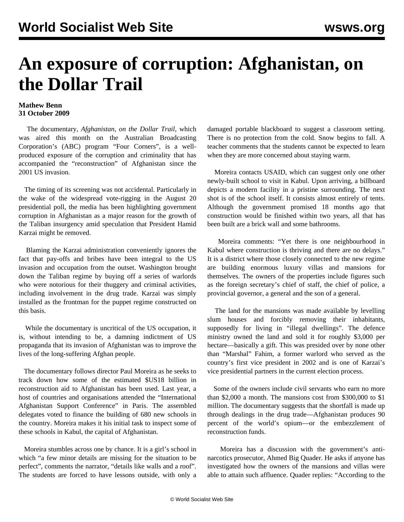## **An exposure of corruption: Afghanistan, on the Dollar Trail**

## **Mathew Benn 31 October 2009**

 The documentary, *Afghanistan, on the Dollar Trail,* which was aired this month on the Australian Broadcasting Corporation's (ABC) program "Four Corners", is a wellproduced exposure of the corruption and criminality that has accompanied the "reconstruction" of Afghanistan since the 2001 US invasion.

 The timing of its screening was not accidental. Particularly in the wake of the widespread vote-rigging in the August 20 presidential poll, the media has been highlighting government corruption in Afghanistan as a major reason for the growth of the Taliban insurgency amid speculation that President Hamid Karzai might be removed.

 Blaming the Karzai administration conveniently ignores the fact that pay-offs and bribes have been integral to the US invasion and occupation from the outset. Washington brought down the Taliban regime by buying off a series of warlords who were notorious for their thuggery and criminal activities, including involvement in the drug trade. Karzai was simply installed as the frontman for the puppet regime constructed on this basis.

 While the documentary is uncritical of the US occupation, it is, without intending to be, a damning indictment of US propaganda that its invasion of Afghanistan was to improve the lives of the long-suffering Afghan people.

 The documentary follows director Paul Moreira as he seeks to track down how some of the estimated \$US18 billion in reconstruction aid to Afghanistan has been used. Last year, a host of countries and organisations attended the "International Afghanistan Support Conference" in Paris. The assembled delegates voted to finance the building of 680 new schools in the country. Moreira makes it his initial task to inspect some of these schools in Kabul, the capital of Afghanistan.

 Moreira stumbles across one by chance. It is a girl's school in which "a few minor details are missing for the situation to be perfect", comments the narrator, "details like walls and a roof". The students are forced to have lessons outside, with only a damaged portable blackboard to suggest a classroom setting. There is no protection from the cold. Snow begins to fall. A teacher comments that the students cannot be expected to learn when they are more concerned about staying warm.

 Moreira contacts USAID, which can suggest only one other newly-built school to visit in Kabul. Upon arriving, a billboard depicts a modern facility in a pristine surrounding. The next shot is of the school itself. It consists almost entirely of tents. Although the government promised 18 months ago that construction would be finished within two years, all that has been built are a brick wall and some bathrooms.

 Moreira comments: "Yet there is one neighbourhood in Kabul where construction is thriving and there are no delays." It is a district where those closely connected to the new regime are building enormous luxury villas and mansions for themselves. The owners of the properties include figures such as the foreign secretary's chief of staff, the chief of police, a provincial governor, a general and the son of a general.

 The land for the mansions was made available by levelling slum houses and forcibly removing their inhabitants, supposedly for living in "illegal dwellings". The defence ministry owned the land and sold it for roughly \$3,000 per hectare—basically a gift. This was presided over by none other than "Marshal" Fahim, a former warlord who served as the country's first vice president in 2002 and is one of Karzai's vice presidential partners in the current election process.

 Some of the owners include civil servants who earn no more than \$2,000 a month. The mansions cost from \$300,000 to \$1 million. The documentary suggests that the shortfall is made up through dealings in the drug trade—Afghanistan produces 90 percent of the world's opium—or the embezzlement of reconstruction funds.

 Moreira has a discussion with the government's antinarcotics prosecutor, Ahmed Big Quader. He asks if anyone has investigated how the owners of the mansions and villas were able to attain such affluence. Quader replies: "According to the